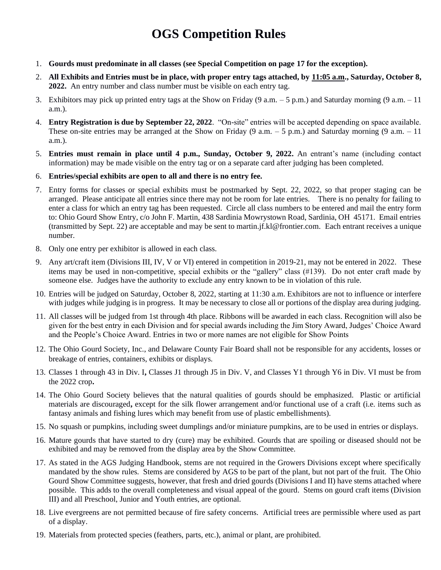# **OGS Competition Rules**

- 1. **Gourds must predominate in all classes (see Special Competition on page 17 for the exception).**
- 2. **All Exhibits and Entries must be in place, with proper entry tags attached, by 11:05 a.m., Saturday, October 8, 2022.** An entry number and class number must be visible on each entry tag.
- 3. Exhibitors may pick up printed entry tags at the Show on Friday  $(9 \text{ a.m.} 5 \text{ p.m.})$  and Saturday morning  $(9 \text{ a.m.} 11 \text{ m})$ a.m.).
- 4. **Entry Registration is due by September 22, 2022**. "On-site" entries will be accepted depending on space available. These on-site entries may be arranged at the Show on Friday  $(9 \text{ a.m.} - 5 \text{ p.m.})$  and Saturday morning  $(9 \text{ a.m.} - 11 \text{ m})$ a.m.).
- 5. **Entries must remain in place until 4 p.m., Sunday, October 9, 2022.** An entrant's name (including contact information) may be made visible on the entry tag or on a separate card after judging has been completed.
- 6. **Entries/special exhibits are open to all and there is no entry fee.**
- 7. Entry forms for classes or special exhibits must be postmarked by Sept. 22, 2022, so that proper staging can be arranged. Please anticipate all entries since there may not be room for late entries. There is no penalty for failing to enter a class for which an entry tag has been requested. Circle all class numbers to be entered and mail the entry form to: Ohio Gourd Show Entry, c/o John F. Martin, 438 Sardinia Mowrystown Road, Sardinia, OH 45171. Email entries (transmitted by Sept. 22) are acceptable and may be sent to martin.jf.kl@frontier.com. Each entrant receives a unique number.
- 8. Only one entry per exhibitor is allowed in each class.
- 9. Any art/craft item (Divisions III, IV, V or VI) entered in competition in 2019-21, may not be entered in 2022. These items may be used in non-competitive, special exhibits or the "gallery" class (#139). Do not enter craft made by someone else. Judges have the authority to exclude any entry known to be in violation of this rule.
- 10. Entries will be judged on Saturday, October 8, 2022, starting at 11:30 a.m. Exhibitors are not to influence or interfere with judges while judging is in progress. It may be necessary to close all or portions of the display area during judging.
- 11. All classes will be judged from 1st through 4th place. Ribbons will be awarded in each class. Recognition will also be given for the best entry in each Division and for special awards including the Jim Story Award, Judges' Choice Award and the People's Choice Award. Entries in two or more names are not eligible for Show Points
- 12. The Ohio Gourd Society, Inc., and Delaware County Fair Board shall not be responsible for any accidents, losses or breakage of entries, containers, exhibits or displays.
- 13. Classes 1 through 43 in Div. I**,** Classes J1 through J5 in Div. V, and Classes Y1 through Y6 in Div. VI must be from the 2022 crop**.**
- 14. The Ohio Gourd Society believes that the natural qualities of gourds should be emphasized. Plastic or artificial materials are discouraged**,** except for the silk flower arrangement and/or functional use of a craft (i.e. items such as fantasy animals and fishing lures which may benefit from use of plastic embellishments).
- 15. No squash or pumpkins, including sweet dumplings and/or miniature pumpkins, are to be used in entries or displays.
- 16. Mature gourds that have started to dry (cure) may be exhibited. Gourds that are spoiling or diseased should not be exhibited and may be removed from the display area by the Show Committee.
- 17. As stated in the AGS Judging Handbook, stems are not required in the Growers Divisions except where specifically mandated by the show rules. Stems are considered by AGS to be part of the plant, but not part of the fruit. The Ohio Gourd Show Committee suggests, however, that fresh and dried gourds (Divisions I and II) have stems attached where possible. This adds to the overall completeness and visual appeal of the gourd. Stems on gourd craft items (Division III) and all Preschool, Junior and Youth entries, are optional.
- 18. Live evergreens are not permitted because of fire safety concerns. Artificial trees are permissible where used as part of a display.
- 19. Materials from protected species (feathers, parts, etc.), animal or plant, are prohibited.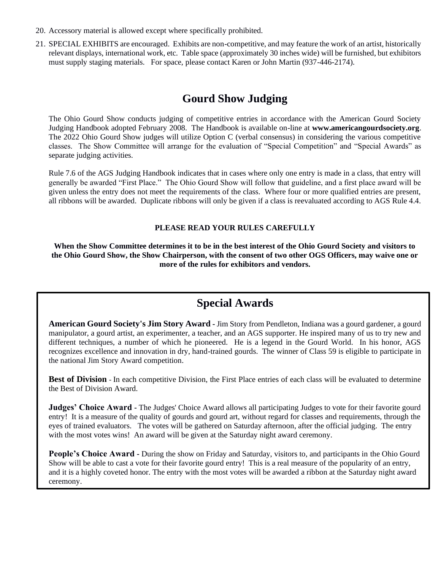- 20. Accessory material is allowed except where specifically prohibited.
- 21. SPECIAL EXHIBITS are encouraged. Exhibits are non-competitive, and may feature the work of an artist, historically relevant displays, international work, etc. Table space (approximately 30 inches wide) will be furnished, but exhibitors must supply staging materials. For space, please contact Karen or John Martin (937-446-2174).

# **Gourd Show Judging**

The Ohio Gourd Show conducts judging of competitive entries in accordance with the American Gourd Society Judging Handbook adopted February 2008. The Handbook is available on-line at **www.americangourdsociety.org**. The 2022 Ohio Gourd Show judges will utilize Option C (verbal consensus) in considering the various competitive classes. The Show Committee will arrange for the evaluation of "Special Competition" and "Special Awards" as separate judging activities.

Rule 7.6 of the AGS Judging Handbook indicates that in cases where only one entry is made in a class, that entry will generally be awarded "First Place." The Ohio Gourd Show will follow that guideline, and a first place award will be given unless the entry does not meet the requirements of the class. Where four or more qualified entries are present, all ribbons will be awarded. Duplicate ribbons will only be given if a class is reevaluated according to AGS Rule 4.4.

### **PLEASE READ YOUR RULES CAREFULLY**

**When the Show Committee determines it to be in the best interest of the Ohio Gourd Society and visitors to the Ohio Gourd Show, the Show Chairperson, with the consent of two other OGS Officers, may waive one or more of the rules for exhibitors and vendors.**

## **Special Awards**

**American Gourd Society's Jim Story Award -** Jim Story from Pendleton, Indiana was a gourd gardener, a gourd manipulator, a gourd artist, an experimenter, a teacher, and an AGS supporter. He inspired many of us to try new and different techniques, a number of which he pioneered. He is a legend in the Gourd World. In his honor, AGS recognizes excellence and innovation in dry, hand-trained gourds. The winner of Class 59 is eligible to participate in the national Jim Story Award competition.

Best of Division - In each competitive Division, the First Place entries of each class will be evaluated to determine the Best of Division Award.

**Judges' Choice Award -** The Judges' Choice Award allows all participating Judges to vote for their favorite gourd entry! It is a measure of the quality of gourds and gourd art, without regard for classes and requirements, through the eyes of trained evaluators. The votes will be gathered on Saturday afternoon, after the official judging. The entry with the most votes wins! An award will be given at the Saturday night award ceremony.

**People's Choice Award -** During the show on Friday and Saturday, visitors to, and participants in the Ohio Gourd Show will be able to cast a vote for their favorite gourd entry! This is a real measure of the popularity of an entry, and it is a highly coveted honor. The entry with the most votes will be awarded a ribbon at the Saturday night award ceremony.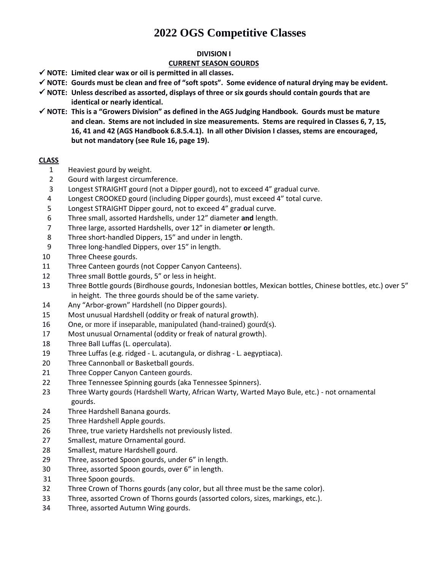# **OGS Competitive Classes**

#### **DIVISION I**

### **CURRENT SEASON GOURDS**

- ✓ **NOTE: Limited clear wax or oil is permitted in all classes.**
- ✓ **NOTE: Gourds must be clean and free of "soft spots". Some evidence of natural drying may be evident.**
- ✓ **NOTE: Unless described as assorted, displays of three or six gourds should contain gourds that are identical or nearly identical.**
- ✓ **NOTE: This is a "Growers Division" as defined in the AGS Judging Handbook. Gourds must be mature and clean. Stems are not included in size measurements. Stems are required in Classes 6, 7, 15, 16, 41 and 42 (AGS Handbook 6.8.5.4.1). In all other Division I classes, stems are encouraged, but not mandatory (see Rule 16, page 19).**

### **CLASS**

- Heaviest gourd by weight.
- Gourd with largest circumference.
- Longest STRAIGHT gourd (not a Dipper gourd), not to exceed 4" gradual curve.
- Longest CROOKED gourd (including Dipper gourds), must exceed 4" total curve.
- Longest STRAIGHT Dipper gourd, not to exceed 4" gradual curve.
- Three small, assorted Hardshells, under 12" diameter **and** length.
- Three large, assorted Hardshells, over 12" in diameter **or** length.
- Three short-handled Dippers, 15" and under in length.
- Three long-handled Dippers, over 15" in length.
- Three Cheese gourds.
- Three Canteen gourds (not Copper Canyon Canteens).
- Three small Bottle gourds, 5" or less in height.
- Three Bottle gourds (Birdhouse gourds, Indonesian bottles, Mexican bottles, Chinese bottles, etc.) over 5" in height. The three gourds should be of the same variety.
- Any "Arbor-grown" Hardshell (no Dipper gourds).
- Most unusual Hardshell (oddity or freak of natural growth).
- One, or more if inseparable, manipulated (hand-trained) gourd(s).
- 7 Most unusual Ornamental (oddity or freak of natural growth).
- Three Ball Luffas (L. operculata).
- Three Luffas (e.g. ridged L. acutangula, or dishrag L. aegyptiaca).
- Three Cannonball or Basketball gourds.
- Three Copper Canyon Canteen gourds.
- Three Tennessee Spinning gourds (aka Tennessee Spinners).
- Three Warty gourds (Hardshell Warty, African Warty, Warted Mayo Bule, etc.) not ornamental gourds.
- Three Hardshell Banana gourds.
- Three Hardshell Apple gourds.
- Three, true variety Hardshells not previously listed.
- Smallest, mature Ornamental gourd.
- Smallest, mature Hardshell gourd.
- Three, assorted Spoon gourds, under 6" in length.
- Three, assorted Spoon gourds, over 6" in length.
- 31 Three Spoon gourds.
- Three Crown of Thorns gourds (any color, but all three must be the same color).
- Three, assorted Crown of Thorns gourds (assorted colors, sizes, markings, etc.).
- Three, assorted Autumn Wing gourds.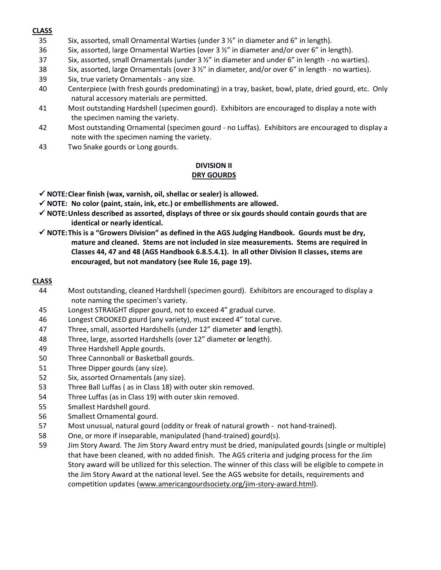#### **CLASS**

- 35 Six, assorted, small Ornamental Warties (under 3 ½" in diameter and 6" in length).
- 36 Six, assorted, large Ornamental Warties (over  $3\frac{1}{2}$ " in diameter and/or over 6" in length).
- 37 Six, assorted, small Ornamentals (under  $3 \frac{1}{2}$ " in diameter and under 6" in length no warties).
- 38 Six, assorted, large Ornamentals (over  $3\frac{1}{2}$ " in diameter, and/or over 6" in length no warties).
- 39 Six, true variety Ornamentals any size.
- 40 Centerpiece (with fresh gourds predominating) in a tray, basket, bowl, plate, dried gourd, etc. Only natural accessory materials are permitted.
- 41 Most outstanding Hardshell (specimen gourd). Exhibitors are encouraged to display a note with the specimen naming the variety.
- 42 Most outstanding Ornamental (specimen gourd no Luffas). Exhibitors are encouraged to display a note with the specimen naming the variety.
- 43 Two Snake gourds or Long gourds.

#### **DIVISION II DRY GOURDS**

- ✓ **NOTE:Clear finish (wax, varnish, oil, shellac or sealer) is allowed.**
- ✓ **NOTE: No color (paint, stain, ink, etc.) or embellishments are allowed.**
- ✓ **NOTE:Unless described as assorted, displays of three or six gourds should contain gourds that are identical or nearly identical.**
- ✓ **NOTE:This is a "Growers Division" as defined in the AGS Judging Handbook. Gourds must be dry, mature and cleaned. Stems are not included in size measurements. Stems are required in Classes 44, 47 and 48 (AGS Handbook 6.8.5.4.1). In all other Division II classes, stems are encouraged, but not mandatory (see Rule 16, page 19).**

#### **CLASS**

- 44 Most outstanding, cleaned Hardshell (specimen gourd). Exhibitors are encouraged to display a note naming the specimen's variety.
- 45 Longest STRAIGHT dipper gourd, not to exceed 4" gradual curve.
- 46 Longest CROOKED gourd (any variety), must exceed 4" total curve.
- 47 Three, small, assorted Hardshells (under 12" diameter **and** length).
- 48 Three, large, assorted Hardshells (over 12" diameter **or** length).
- 49 Three Hardshell Apple gourds.
- 50 Three Cannonball or Basketball gourds.
- 51 Three Dipper gourds (any size).
- 52 Six, assorted Ornamentals (any size).
- 53 Three Ball Luffas ( as in Class 18) with outer skin removed.
- 54 Three Luffas (as in Class 19) with outer skin removed.
- 55 Smallest Hardshell gourd.
- 56 Smallest Ornamental gourd.
- 57 Most unusual, natural gourd (oddity or freak of natural growth not hand-trained).
- 58 One, or more if inseparable, manipulated (hand-trained) gourd(s).
- 59 Jim Story Award. The Jim Story Award entry must be dried, manipulated gourds (single or multiple) that have been cleaned, with no added finish. The AGS criteria and judging process for the Jim Story award will be utilized for this selection. The winner of this class will be eligible to compete in the Jim Story Award at the national level. See the AGS website for details, requirements and competition updates [\(www.americangourdsociety.org/jim-story-award.html\)](http://www.americangourdsociety.org/jim-story-award.html).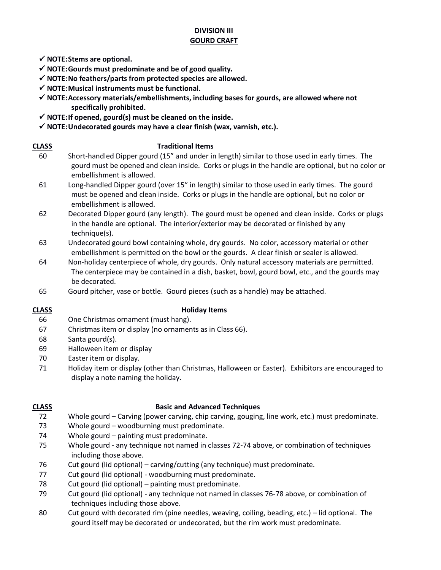### **DIVISION III GOURD CRAFT**

- ✓ **NOTE:Stems are optional.**
- ✓ **NOTE:Gourds must predominate and be of good quality.**
- ✓ **NOTE:No feathers/parts from protected species are allowed.**
- ✓ **NOTE:Musical instruments must be functional.**
- ✓ **NOTE:Accessory materials/embellishments, including bases for gourds, are allowed where not specifically prohibited.**
- ✓ **NOTE:If opened, gourd(s) must be cleaned on the inside.**
- ✓ **NOTE:Undecorated gourds may have a clear finish (wax, varnish, etc.).**
- **CLASS Traditional Items**
	- 60 Short-handled Dipper gourd (15" and under in length) similar to those used in early times. The gourd must be opened and clean inside. Corks or plugs in the handle are optional, but no color or embellishment is allowed.
	- 61 Long-handled Dipper gourd (over 15" in length) similar to those used in early times. The gourd must be opened and clean inside. Corks or plugs in the handle are optional, but no color or embellishment is allowed.
	- 62 Decorated Dipper gourd (any length). The gourd must be opened and clean inside. Corks or plugs in the handle are optional. The interior/exterior may be decorated or finished by any technique(s).
	- 63 Undecorated gourd bowl containing whole, dry gourds. No color, accessory material or other embellishment is permitted on the bowl or the gourds. A clear finish or sealer is allowed.
	- 64 Non-holiday centerpiece of whole, dry gourds. Only natural accessory materials are permitted. The centerpiece may be contained in a dish, basket, bowl, gourd bowl, etc., and the gourds may be decorated.
	- 65 Gourd pitcher, vase or bottle. Gourd pieces (such as a handle) may be attached.

#### **CLASS Holiday Items**

- 66 One Christmas ornament (must hang).
- 67 Christmas item or display (no ornaments as in Class 66).
- 68 Santa gourd(s).
- 69 Halloween item or display
- 70 Easter item or display.
- 71 Holiday item or display (other than Christmas, Halloween or Easter). Exhibitors are encouraged to display a note naming the holiday.

### **CLASS Basic and Advanced Techniques**

- 72 Whole gourd Carving (power carving, chip carving, gouging, line work, etc.) must predominate.
- 73 Whole gourd woodburning must predominate.
- 74 Whole gourd painting must predominate.
- 75 Whole gourd any technique not named in classes 72-74 above, or combination of techniques including those above.
- 76 Cut gourd (lid optional) carving/cutting (any technique) must predominate.
- 77 Cut gourd (lid optional) woodburning must predominate.
- 78 Cut gourd (lid optional) painting must predominate.
- 79 Cut gourd (lid optional) any technique not named in classes 76-78 above, or combination of techniques including those above.
- 80 Cut gourd with decorated rim (pine needles, weaving, coiling, beading, etc.) lid optional. The gourd itself may be decorated or undecorated, but the rim work must predominate.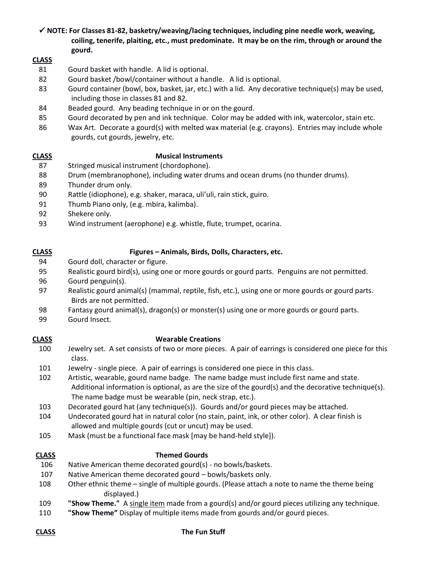✓ **NOTE: For Classes 81-82, basketry/weaving/lacing techniques, including pine needle work, weaving, coiling, tenerife, plaiting, etc., must predominate. It may be on the rim, through or around the gourd.** 

#### **CLASS**

- Gourd basket with handle. A lid is optional.
- Gourd basket /bowl/container without a handle. A lid is optional.
- Gourd container (bowl, box, basket, jar, etc.) with a lid. Any decorative technique(s) may be used, including those in classes 81 and 82.
- Beaded gourd. Any beading technique in or on the gourd.
- Gourd decorated by pen and ink technique. Color may be added with ink, watercolor, stain etc.
- 86 Wax Art. Decorate a gourd(s) with melted wax material (e.g. crayons). Entries may include whole gourds, cut gourds, jewelry, etc.

#### **CLASS Musical Instruments**

- Stringed musical instrument (chordophone).
- Drum (membranophone), including water drums and ocean drums (no thunder drums).
- Thunder drum only.
- Rattle (idiophone), e.g. shaker, maraca, uli'uli, rain stick, guiro.
- Thumb Piano only, (e.g. mbira, kalimba).
- Shekere only.
- Wind instrument (aerophone) e.g. whistle, flute, trumpet, ocarina.

#### **CLASS Figures – Animals, Birds, Dolls, Characters, etc.**

- Gourd doll, character or figure.
- Realistic gourd bird(s), using one or more gourds or gourd parts. Penguins are not permitted.
- Gourd penguin(s).
- Realistic gourd animal(s) (mammal, reptile, fish, etc.), using one or more gourds or gourd parts. Birds are not permitted.
- Fantasy gourd animal(s), dragon(s) or monster(s) using one or more gourds or gourd parts.
- Gourd Insect.

#### **CLASS Wearable Creations**

- Jewelry set. A set consists of two or more pieces. A pair of earrings is considered one piece for this class.
- Jewelry single piece. A pair of earrings is considered one piece in this class.
- Artistic, wearable, gourd name badge. The name badge must include first name and state. Additional information is optional, as are the size of the gourd(s) and the decorative technique(s). The name badge must be wearable (pin, neck strap, etc.).
- Decorated gourd hat (any technique(s)). Gourds and/or gourd pieces may be attached.
- Undecorated gourd hat in natural color (no stain, paint, ink, or other color). A clear finish is allowed and multiple gourds (cut or uncut) may be used.
- Mask (must be a functional face mask [may be hand-held style]).

### **CLASS Themed Gourds**

- Native American theme decorated gourd(s) no bowls/baskets.
- Native American theme decorated gourd bowls/baskets only.
- Other ethnic theme single of multiple gourds. (Please attach a note to name the theme being displayed.)
- **"Show Theme."** A single item made from a gourd(s) and/or gourd pieces utilizing any technique.
- **"Show Theme"** Display of multiple items made from gourds and/or gourd pieces.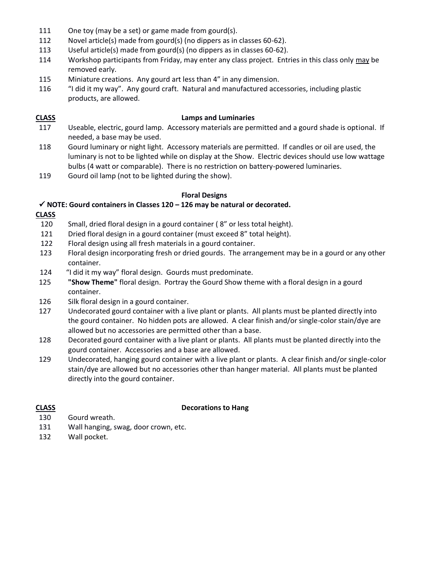- 111 One toy (may be a set) or game made from gourd(s).
- 112 Novel article(s) made from gourd(s) (no dippers as in classes 60-62).
- 113 Useful article(s) made from gourd(s) (no dippers as in classes 60-62).
- 114 Workshop participants from Friday, may enter any class project. Entries in this class only may be removed early.
- 115 Miniature creations. Any gourd art less than 4" in any dimension.
- 116 "I did it my way". Any gourd craft. Natural and manufactured accessories, including plastic products, are allowed.

#### **CLASS Lamps and Luminaries**

- 117 Useable, electric, gourd lamp. Accessory materials are permitted and a gourd shade is optional. If needed, a base may be used.
- 118 Gourd luminary or night light. Accessory materials are permitted. If candles or oil are used, the luminary is not to be lighted while on display at the Show. Electric devices should use low wattage bulbs (4 watt or comparable). There is no restriction on battery-powered luminaries.
- 119 Gourd oil lamp (not to be lighted during the show).

#### **Floral Designs**

#### ✓ **NOTE: Gourd containers in Classes 120 – 126 may be natural or decorated.**

- **CLASS**
- 120 Small, dried floral design in a gourd container ( 8" or less total height).
- 121 Dried floral design in a gourd container (must exceed 8" total height).
- 122 Floral design using all fresh materials in a gourd container.
- 123 Floral design incorporating fresh or dried gourds. The arrangement may be in a gourd or any other container.
- 124 "I did it my way" floral design. Gourds must predominate.
- 125 **"Show Theme"** floral design. Portray the Gourd Show theme with a floral design in a gourd container.
- 126 Silk floral design in a gourd container.
- 127 Undecorated gourd container with a live plant or plants. All plants must be planted directly into the gourd container. No hidden pots are allowed. A clear finish and/or single-color stain/dye are allowed but no accessories are permitted other than a base.
- 128 Decorated gourd container with a live plant or plants. All plants must be planted directly into the gourd container. Accessories and a base are allowed.
- 129 Undecorated, hanging gourd container with a live plant or plants. A clear finish and/or single-color stain/dye are allowed but no accessories other than hanger material. All plants must be planted directly into the gourd container.

#### **CLASS Decorations to Hang**

- 130 Gourd wreath.
- 131 Wall hanging, swag, door crown, etc.
- 132 Wall pocket.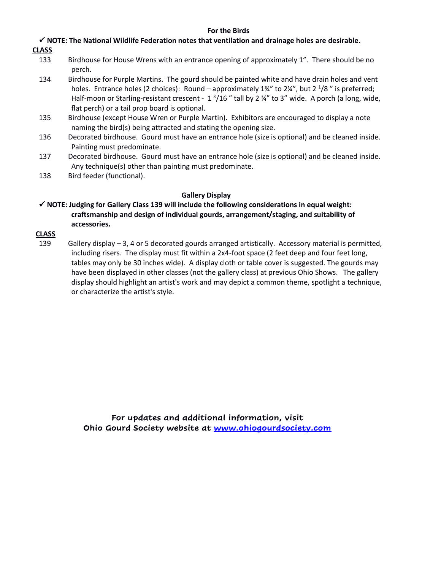#### **For the Birds**

✓ **NOTE: The National Wildlife Federation notes that ventilation and drainage holes are desirable.**

- **CLASS**
	- 133 Birdhouse for House Wrens with an entrance opening of approximately 1". There should be no perch.
	- 134 Birdhouse for Purple Martins. The gourd should be painted white and have drain holes and vent holes. Entrance holes (2 choices): Round – approximately 1¾" to 2¼", but 2  $\frac{1}{8}$ " is preferred; Half-moon or Starling-resistant crescent -  $1\frac{3}{16}$  " tall by 2  $\frac{3}{4}$ " to 3" wide. A porch (a long, wide, flat perch) or a tail prop board is optional.
	- 135 Birdhouse (except House Wren or Purple Martin). Exhibitors are encouraged to display a note naming the bird(s) being attracted and stating the opening size.
	- 136 Decorated birdhouse. Gourd must have an entrance hole (size is optional) and be cleaned inside. Painting must predominate.
	- 137 Decorated birdhouse. Gourd must have an entrance hole (size is optional) and be cleaned inside. Any technique(s) other than painting must predominate.
	- 138 Bird feeder (functional).

#### **Gallery Display**

✓ **NOTE: Judging for Gallery Class 139 will include the following considerations in equal weight: craftsmanship and design of individual gourds, arrangement/staging, and suitability of accessories.**

#### **CLASS**

139 Gallery display – 3, 4 or 5 decorated gourds arranged artistically. Accessory material is permitted, including risers. The display must fit within a 2x4-foot space (2 feet deep and four feet long, tables may only be 30 inches wide). A display cloth or table cover is suggested. The gourds may have been displayed in other classes (not the gallery class) at previous Ohio Shows. The gallery display should highlight an artist's work and may depict a common theme, spotlight a technique, or characterize the artist's style.

> **For updates and additional information, visit Ohio Gourd Society website at [www.ohiogourdsociety.com](http://www.ohiogourdsociety.com/)**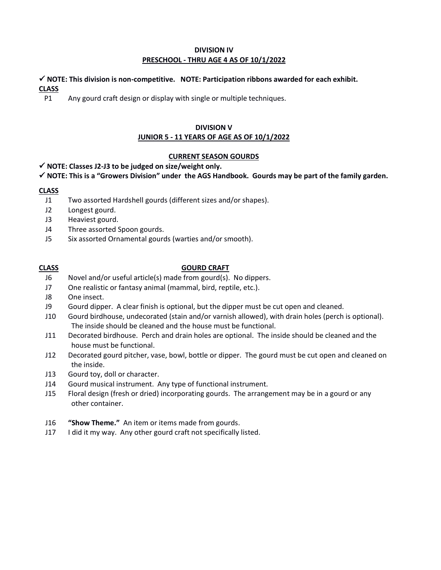#### **DIVISION IV PRESCHOOL - THRU AGE 4 AS OF 10/1/2022**

### ✓ **NOTE: This division is non-competitive. NOTE: Participation ribbons awarded for each exhibit. CLASS**

P1 Any gourd craft design or display with single or multiple techniques.

## **DIVISION V**

## **JUNIOR 5 - 11 YEARS OF AGE AS OF 10/1/2022**

### **CURRENT SEASON GOURDS**

#### ✓ **NOTE: Classes J2-J3 to be judged on size/weight only.**

#### ✓ **NOTE: This is a "Growers Division" under the AGS Handbook. Gourds may be part of the family garden.**

#### **CLASS**

- J1 Two assorted Hardshell gourds (different sizes and/or shapes).
- J2 Longest gourd.
- J3 Heaviest gourd.
- J4 Three assorted Spoon gourds.
- J5 Six assorted Ornamental gourds (warties and/or smooth).

#### **CLASS GOURD CRAFT**

- J6 Novel and/or useful article(s) made from gourd(s). No dippers.
- J7 One realistic or fantasy animal (mammal, bird, reptile, etc.).
- J8 One insect.
- J9 Gourd dipper. A clear finish is optional, but the dipper must be cut open and cleaned.
- J10 Gourd birdhouse, undecorated (stain and/or varnish allowed), with drain holes (perch is optional). The inside should be cleaned and the house must be functional.
- J11 Decorated birdhouse. Perch and drain holes are optional. The inside should be cleaned and the house must be functional.
- J12 Decorated gourd pitcher, vase, bowl, bottle or dipper. The gourd must be cut open and cleaned on the inside.
- J13 Gourd toy, doll or character.
- J14 Gourd musical instrument. Any type of functional instrument.
- J15 Floral design (fresh or dried) incorporating gourds. The arrangement may be in a gourd or any other container.
- J16 **"Show Theme."** An item or items made from gourds.
- J17 I did it my way. Any other gourd craft not specifically listed.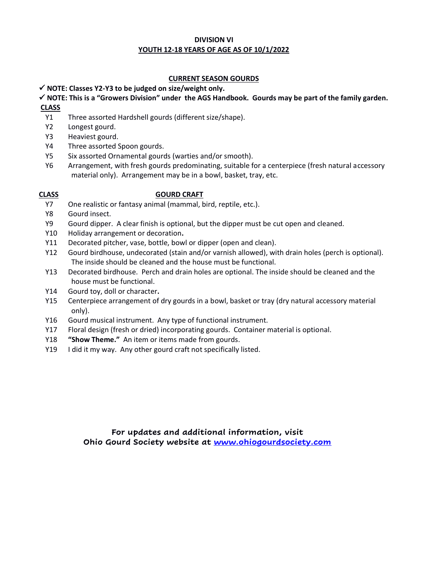#### **DIVISION VI YOUTH 12-18 YEARS OF AGE AS OF 10/1/2022**

### **CURRENT SEASON GOURDS**

### ✓ **NOTE: Classes Y2-Y3 to be judged on size/weight only.**

#### ✓ **NOTE: This is a "Growers Division" under the AGS Handbook. Gourds may be part of the family garden. CLASS**

- Y1 Three assorted Hardshell gourds (different size/shape).
- Y2 Longest gourd.
- Y3 Heaviest gourd.
- Y4 Three assorted Spoon gourds.
- Y5 Six assorted Ornamental gourds (warties and/or smooth).
- Y6 Arrangement, with fresh gourds predominating, suitable for a centerpiece (fresh natural accessory material only). Arrangement may be in a bowl, basket, tray, etc.

#### **CLASS GOURD CRAFT**

- Y7 One realistic or fantasy animal (mammal, bird, reptile, etc.).
- Y8 Gourd insect.
- Y9 Gourd dipper. A clear finish is optional, but the dipper must be cut open and cleaned.
- Y10 Holiday arrangement or decoration**.**
- Y11 Decorated pitcher, vase, bottle, bowl or dipper (open and clean).
- Y12 Gourd birdhouse, undecorated (stain and/or varnish allowed), with drain holes (perch is optional). The inside should be cleaned and the house must be functional.
- Y13 Decorated birdhouse. Perch and drain holes are optional. The inside should be cleaned and the house must be functional.
- Y14 Gourd toy, doll or character**.**
- Y15 Centerpiece arrangement of dry gourds in a bowl, basket or tray (dry natural accessory material only).
- Y16 Gourd musical instrument. Any type of functional instrument.
- Y17 Floral design (fresh or dried) incorporating gourds. Container material is optional.
- Y18 **"Show Theme."** An item or items made from gourds.
- Y19 I did it my way. Any other gourd craft not specifically listed.

**For updates and additional information, visit Ohio Gourd Society website at [www.ohiogourdsociety.com](http://www.ohiogourdsociety.com/)**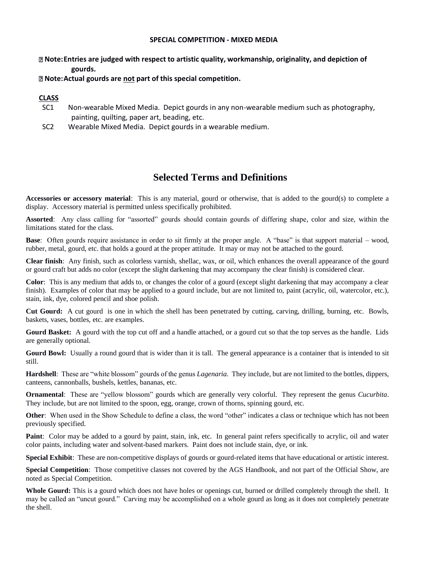#### **SPECIAL COMPETITION - MIXED MEDIA**

#### **Note:Entries are judged with respect to artistic quality, workmanship, originality, and depiction of gourds.**

#### **Note:Actual gourds are not part of this special competition.**

#### **CLASS**

- SC1 Non-wearable Mixed Media. Depict gourds in any non-wearable medium such as photography, painting, quilting, paper art, beading, etc.
- SC2 Wearable Mixed Media. Depict gourds in a wearable medium.

## **Selected Terms and Definitions**

**Accessories or accessory material**: This is any material, gourd or otherwise, that is added to the gourd(s) to complete a display. Accessory material is permitted unless specifically prohibited.

**Assorted**: Any class calling for "assorted" gourds should contain gourds of differing shape, color and size, within the limitations stated for the class.

**Base**: Often gourds require assistance in order to sit firmly at the proper angle. A "base" is that support material – wood, rubber, metal, gourd, etc. that holds a gourd at the proper attitude. It may or may not be attached to the gourd.

**Clear finish**: Any finish, such as colorless varnish, shellac, wax, or oil, which enhances the overall appearance of the gourd or gourd craft but adds no color (except the slight darkening that may accompany the clear finish) is considered clear.

**Color**: This is any medium that adds to, or changes the color of a gourd (except slight darkening that may accompany a clear finish). Examples of color that may be applied to a gourd include, but are not limited to, paint (acrylic, oil, watercolor, etc.), stain, ink, dye, colored pencil and shoe polish.

**Cut Gourd:** A cut gourd is one in which the shell has been penetrated by cutting, carving, drilling, burning, etc. Bowls, baskets, vases, bottles, etc. are examples.

**Gourd Basket:** A gourd with the top cut off and a handle attached, or a gourd cut so that the top serves as the handle. Lids are generally optional.

Gourd Bowl: Usually a round gourd that is wider than it is tall. The general appearance is a container that is intended to sit still.

**Hardshell**: These are "white blossom" gourds of the genus *Lagenaria.* They include, but are not limited to the bottles, dippers, canteens, cannonballs, bushels, kettles, bananas, etc.

**Ornamental**: These are "yellow blossom" gourds which are generally very colorful. They represent the genus *Cucurbita*. They include, but are not limited to the spoon, egg, orange, crown of thorns, spinning gourd, etc.

**Other**: When used in the Show Schedule to define a class, the word "other" indicates a class or technique which has not been previously specified.

**Paint**: Color may be added to a gourd by paint, stain, ink, etc. In general paint refers specifically to acrylic, oil and water color paints, including water and solvent-based markers. Paint does not include stain, dye, or ink.

**Special Exhibit**: These are non-competitive displays of gourds or gourd-related items that have educational or artistic interest.

**Special Competition**: Those competitive classes not covered by the AGS Handbook, and not part of the Official Show, are noted as Special Competition.

**Whole Gourd:** This is a gourd which does not have holes or openings cut, burned or drilled completely through the shell. It may be called an "uncut gourd." Carving may be accomplished on a whole gourd as long as it does not completely penetrate the shell.